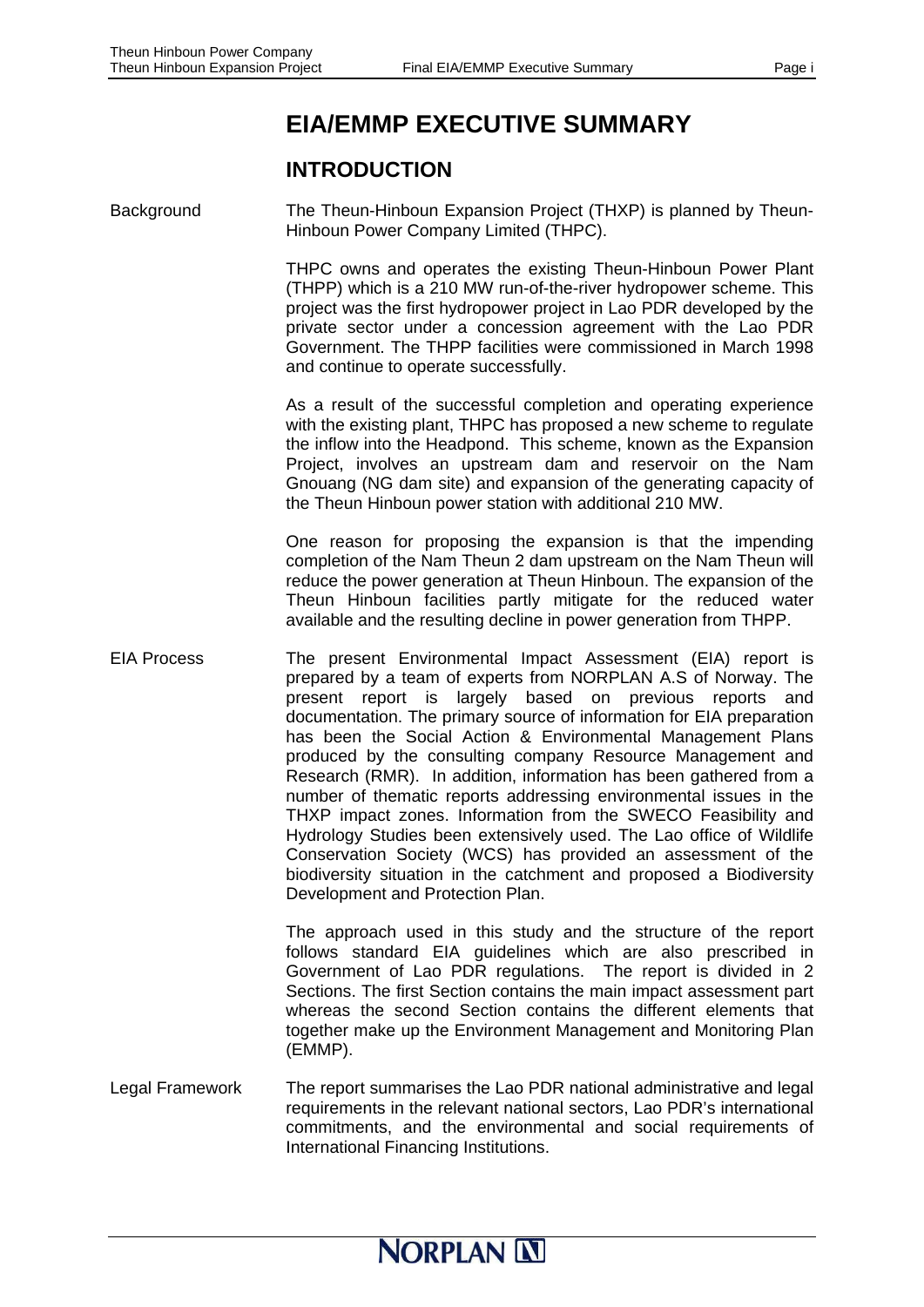# **EIA/EMMP EXECUTIVE SUMMARY**

### **INTRODUCTION**

Background The Theun-Hinboun Expansion Project (THXP) is planned by Theun-Hinboun Power Company Limited (THPC).

> THPC owns and operates the existing Theun-Hinboun Power Plant (THPP) which is a 210 MW run-of-the-river hydropower scheme. This project was the first hydropower project in Lao PDR developed by the private sector under a concession agreement with the Lao PDR Government. The THPP facilities were commissioned in March 1998 and continue to operate successfully.

> As a result of the successful completion and operating experience with the existing plant, THPC has proposed a new scheme to regulate the inflow into the Headpond. This scheme, known as the Expansion Project, involves an upstream dam and reservoir on the Nam Gnouang (NG dam site) and expansion of the generating capacity of the Theun Hinboun power station with additional 210 MW.

> One reason for proposing the expansion is that the impending completion of the Nam Theun 2 dam upstream on the Nam Theun will reduce the power generation at Theun Hinboun. The expansion of the Theun Hinboun facilities partly mitigate for the reduced water available and the resulting decline in power generation from THPP.

EIA Process The present Environmental Impact Assessment (EIA) report is prepared by a team of experts from NORPLAN A.S of Norway. The present report is largely based on previous reports and documentation. The primary source of information for EIA preparation has been the Social Action & Environmental Management Plans produced by the consulting company Resource Management and Research (RMR). In addition, information has been gathered from a number of thematic reports addressing environmental issues in the THXP impact zones. Information from the SWECO Feasibility and Hydrology Studies been extensively used. The Lao office of Wildlife Conservation Society (WCS) has provided an assessment of the biodiversity situation in the catchment and proposed a Biodiversity Development and Protection Plan.

> The approach used in this study and the structure of the report follows standard EIA guidelines which are also prescribed in Government of Lao PDR regulations. The report is divided in 2 Sections. The first Section contains the main impact assessment part whereas the second Section contains the different elements that together make up the Environment Management and Monitoring Plan (EMMP).

Legal Framework The report summarises the Lao PDR national administrative and legal requirements in the relevant national sectors, Lao PDR's international commitments, and the environmental and social requirements of International Financing Institutions.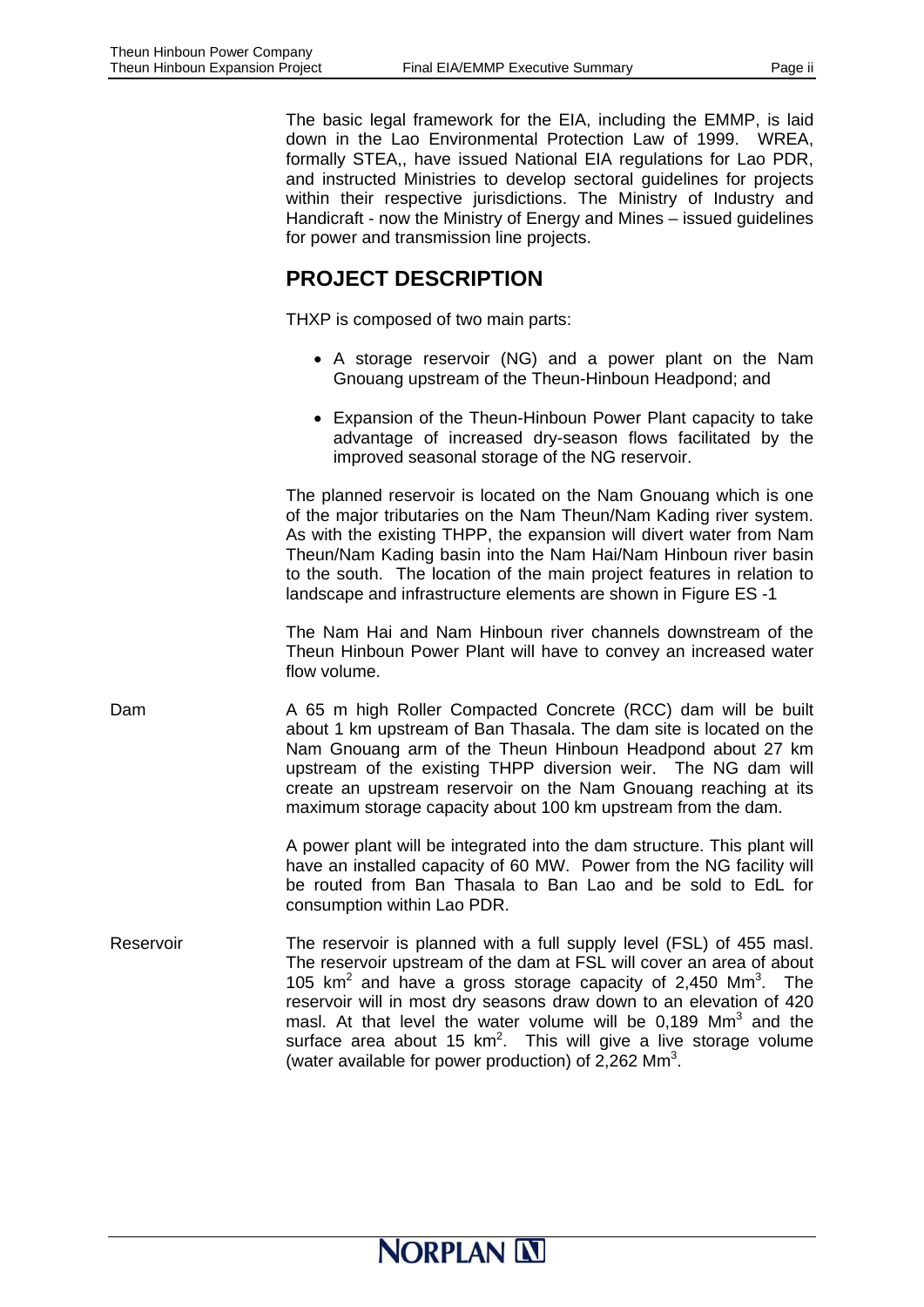The basic legal framework for the EIA, including the EMMP, is laid down in the Lao Environmental Protection Law of 1999. WREA, formally STEA,, have issued National EIA regulations for Lao PDR, and instructed Ministries to develop sectoral guidelines for projects within their respective jurisdictions. The Ministry of Industry and Handicraft - now the Ministry of Energy and Mines – issued guidelines for power and transmission line projects.

### **PROJECT DESCRIPTION**

THXP is composed of two main parts:

- A storage reservoir (NG) and a power plant on the Nam Gnouang upstream of the Theun-Hinboun Headpond; and
- Expansion of the Theun-Hinboun Power Plant capacity to take advantage of increased dry-season flows facilitated by the improved seasonal storage of the NG reservoir.

The planned reservoir is located on the Nam Gnouang which is one of the major tributaries on the Nam Theun/Nam Kading river system. As with the existing THPP, the expansion will divert water from Nam Theun/Nam Kading basin into the Nam Hai/Nam Hinboun river basin to the south. The location of the main project features in relation to landscape and infrastructure elements are shown in Figure ES -1

The Nam Hai and Nam Hinboun river channels downstream of the Theun Hinboun Power Plant will have to convey an increased water flow volume.

Dam A 65 m high Roller Compacted Concrete (RCC) dam will be built about 1 km upstream of Ban Thasala. The dam site is located on the Nam Gnouang arm of the Theun Hinboun Headpond about 27 km upstream of the existing THPP diversion weir. The NG dam will create an upstream reservoir on the Nam Gnouang reaching at its maximum storage capacity about 100 km upstream from the dam.

> A power plant will be integrated into the dam structure. This plant will have an installed capacity of 60 MW. Power from the NG facility will be routed from Ban Thasala to Ban Lao and be sold to EdL for consumption within Lao PDR.

Reservoir The reservoir is planned with a full supply level (FSL) of 455 masl. The reservoir upstream of the dam at FSL will cover an area of about 105  $km^2$  and have a gross storage capacity of 2,450  $Mm^3$ . The reservoir will in most dry seasons draw down to an elevation of 420 masl. At that level the water volume will be  $0,189$  Mm<sup>3</sup> and the surface area about 15  $km^2$ . This will give a live storage volume (water available for power production) of  $2,262$  Mm<sup>3</sup>.

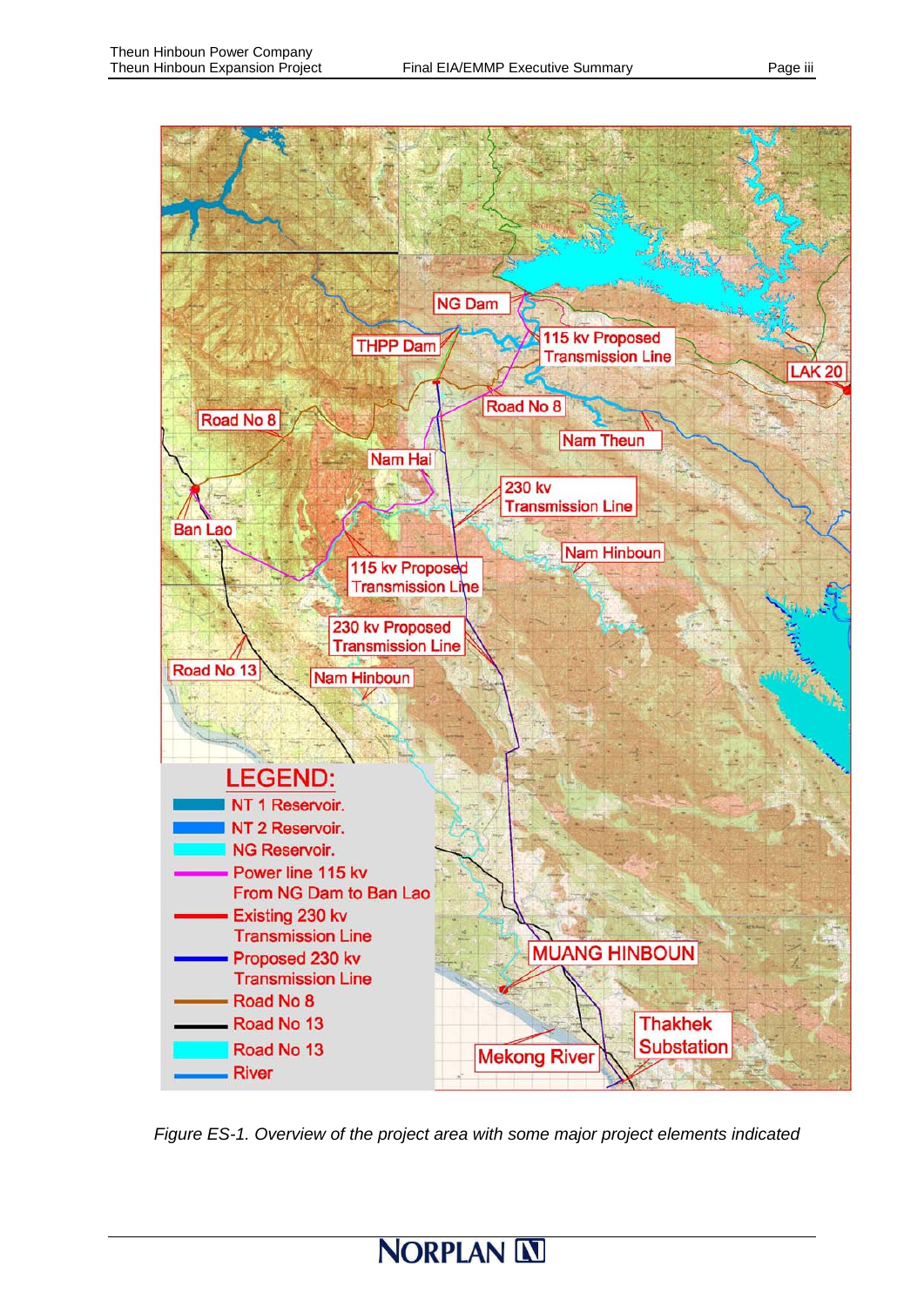

*Figure ES-1. Overview of the project area with some major project elements indicated* 

# **NORPLAN IN**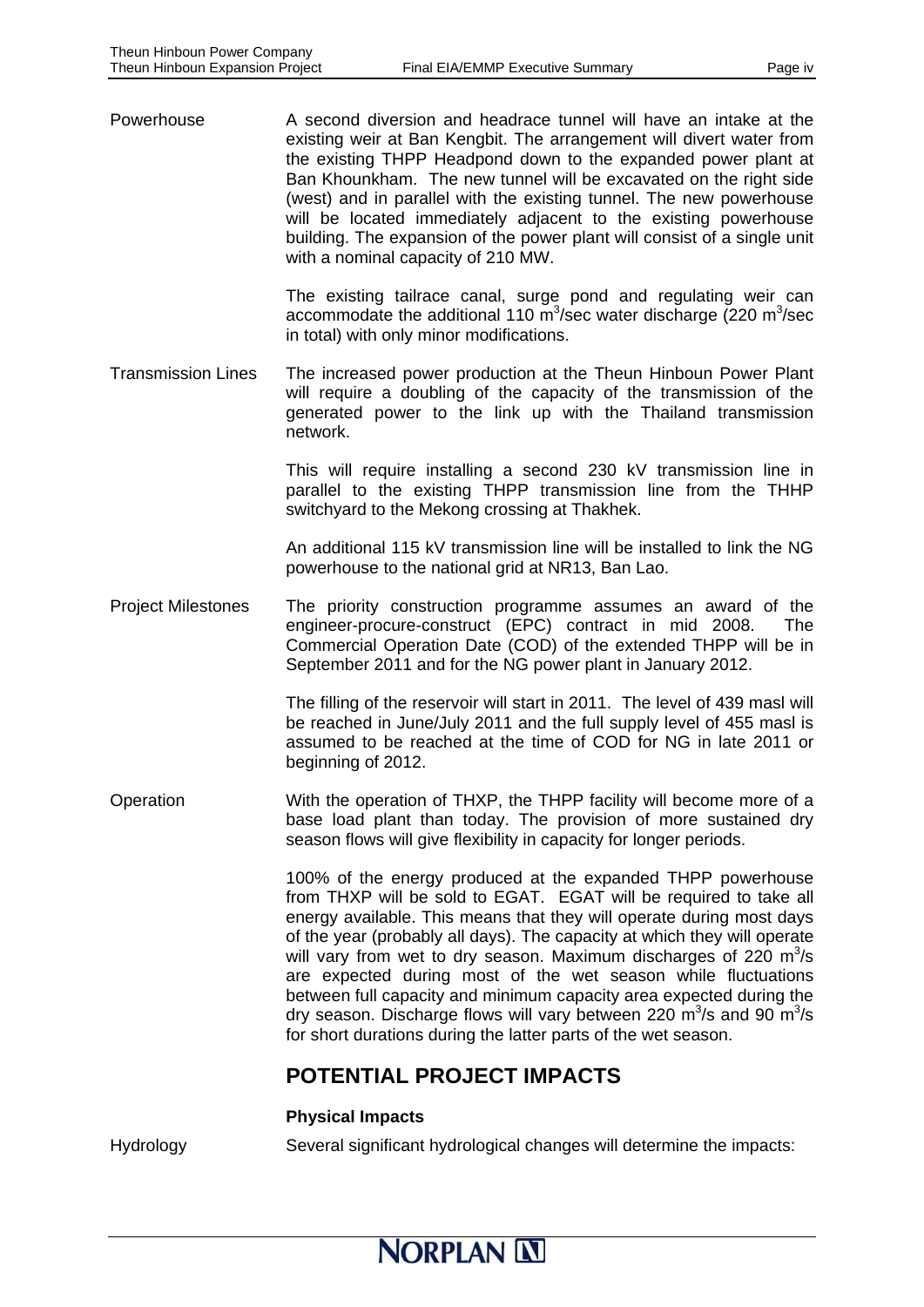Powerhouse **A** second diversion and headrace tunnel will have an intake at the existing weir at Ban Kengbit. The arrangement will divert water from the existing THPP Headpond down to the expanded power plant at Ban Khounkham. The new tunnel will be excavated on the right side (west) and in parallel with the existing tunnel. The new powerhouse will be located immediately adjacent to the existing powerhouse building. The expansion of the power plant will consist of a single unit with a nominal capacity of 210 MW.

> The existing tailrace canal, surge pond and regulating weir can accommodate the additional 110  $\text{m}^3$ /sec water discharge (220  $\text{m}^3$ /sec in total) with only minor modifications.

Transmission Lines The increased power production at the Theun Hinboun Power Plant will require a doubling of the capacity of the transmission of the generated power to the link up with the Thailand transmission network.

> This will require installing a second 230 kV transmission line in parallel to the existing THPP transmission line from the THHP switchyard to the Mekong crossing at Thakhek.

> An additional 115 kV transmission line will be installed to link the NG powerhouse to the national grid at NR13, Ban Lao.

Project Milestones The priority construction programme assumes an award of the engineer-procure-construct (EPC) contract in mid 2008. The Commercial Operation Date (COD) of the extended THPP will be in September 2011 and for the NG power plant in January 2012.

> The filling of the reservoir will start in 2011. The level of 439 masl will be reached in June/July 2011 and the full supply level of 455 masl is assumed to be reached at the time of COD for NG in late 2011 or beginning of 2012.

Operation With the operation of THXP, the THPP facility will become more of a base load plant than today. The provision of more sustained dry season flows will give flexibility in capacity for longer periods.

> 100% of the energy produced at the expanded THPP powerhouse from THXP will be sold to EGAT. EGAT will be required to take all energy available. This means that they will operate during most days of the year (probably all days). The capacity at which they will operate will vary from wet to dry season. Maximum discharges of 220  $m^3/s$ are expected during most of the wet season while fluctuations between full capacity and minimum capacity area expected during the dry season. Discharge flows will vary between 220  $\text{m}^3\text{/s}$  and 90  $\text{m}^3\text{/s}$ for short durations during the latter parts of the wet season.

### **POTENTIAL PROJECT IMPACTS**

#### **Physical Impacts**

Hydrology Several significant hydrological changes will determine the impacts: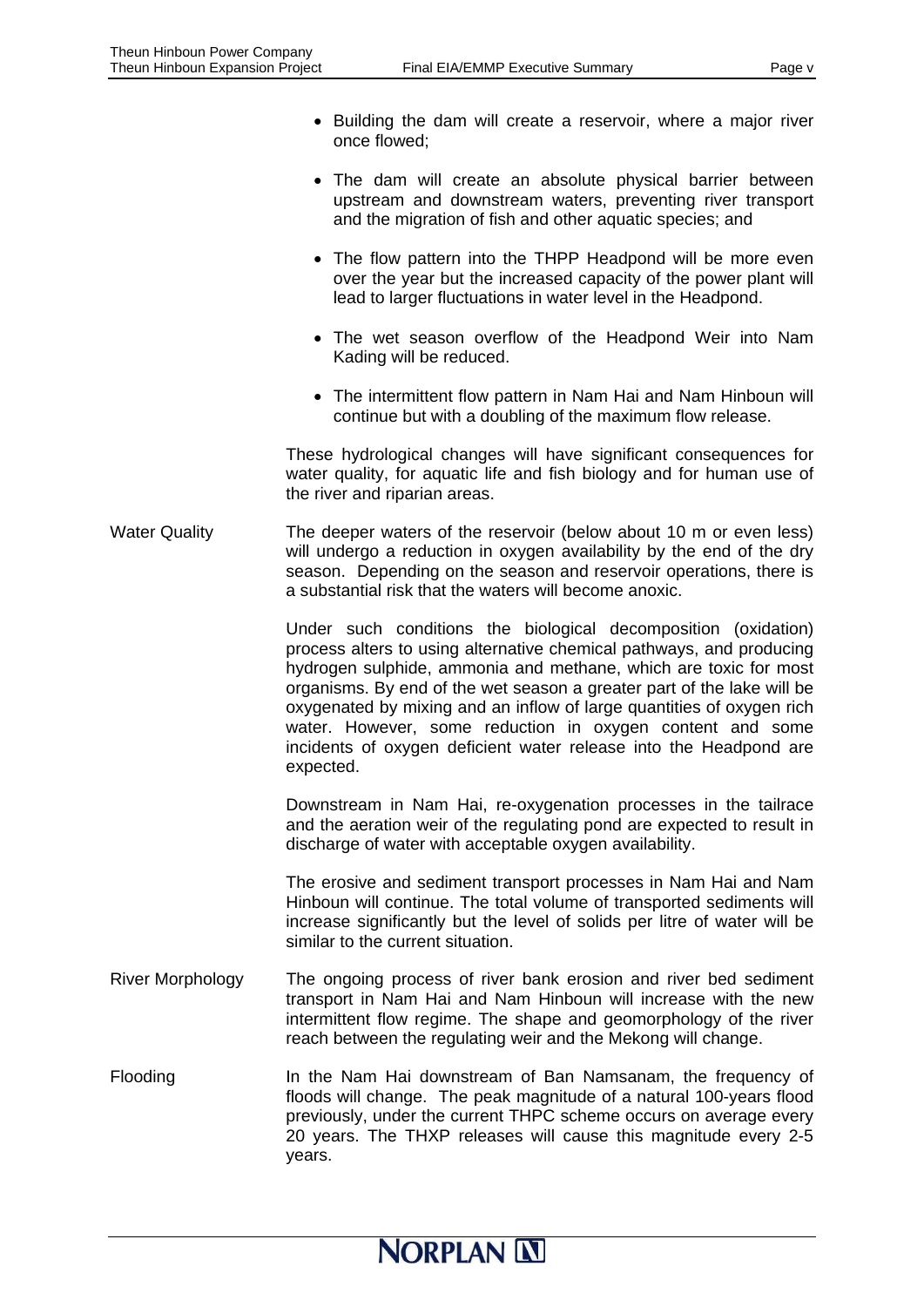- Building the dam will create a reservoir, where a major river once flowed;
- The dam will create an absolute physical barrier between upstream and downstream waters, preventing river transport and the migration of fish and other aquatic species; and
- The flow pattern into the THPP Headpond will be more even over the year but the increased capacity of the power plant will lead to larger fluctuations in water level in the Headpond.
- The wet season overflow of the Headpond Weir into Nam Kading will be reduced.
- The intermittent flow pattern in Nam Hai and Nam Hinboun will continue but with a doubling of the maximum flow release.

These hydrological changes will have significant consequences for water quality, for aquatic life and fish biology and for human use of the river and riparian areas.

Water Quality The deeper waters of the reservoir (below about 10 m or even less) will undergo a reduction in oxygen availability by the end of the dry season. Depending on the season and reservoir operations, there is a substantial risk that the waters will become anoxic.

> Under such conditions the biological decomposition (oxidation) process alters to using alternative chemical pathways, and producing hydrogen sulphide, ammonia and methane, which are toxic for most organisms. By end of the wet season a greater part of the lake will be oxygenated by mixing and an inflow of large quantities of oxygen rich water. However, some reduction in oxygen content and some incidents of oxygen deficient water release into the Headpond are expected.

> Downstream in Nam Hai, re-oxygenation processes in the tailrace and the aeration weir of the regulating pond are expected to result in discharge of water with acceptable oxygen availability.

> The erosive and sediment transport processes in Nam Hai and Nam Hinboun will continue. The total volume of transported sediments will increase significantly but the level of solids per litre of water will be similar to the current situation.

- River Morphology The ongoing process of river bank erosion and river bed sediment transport in Nam Hai and Nam Hinboun will increase with the new intermittent flow regime. The shape and geomorphology of the river reach between the regulating weir and the Mekong will change.
- Flooding In the Nam Hai downstream of Ban Namsanam, the frequency of floods will change. The peak magnitude of a natural 100-years flood previously, under the current THPC scheme occurs on average every 20 years. The THXP releases will cause this magnitude every 2-5 years.

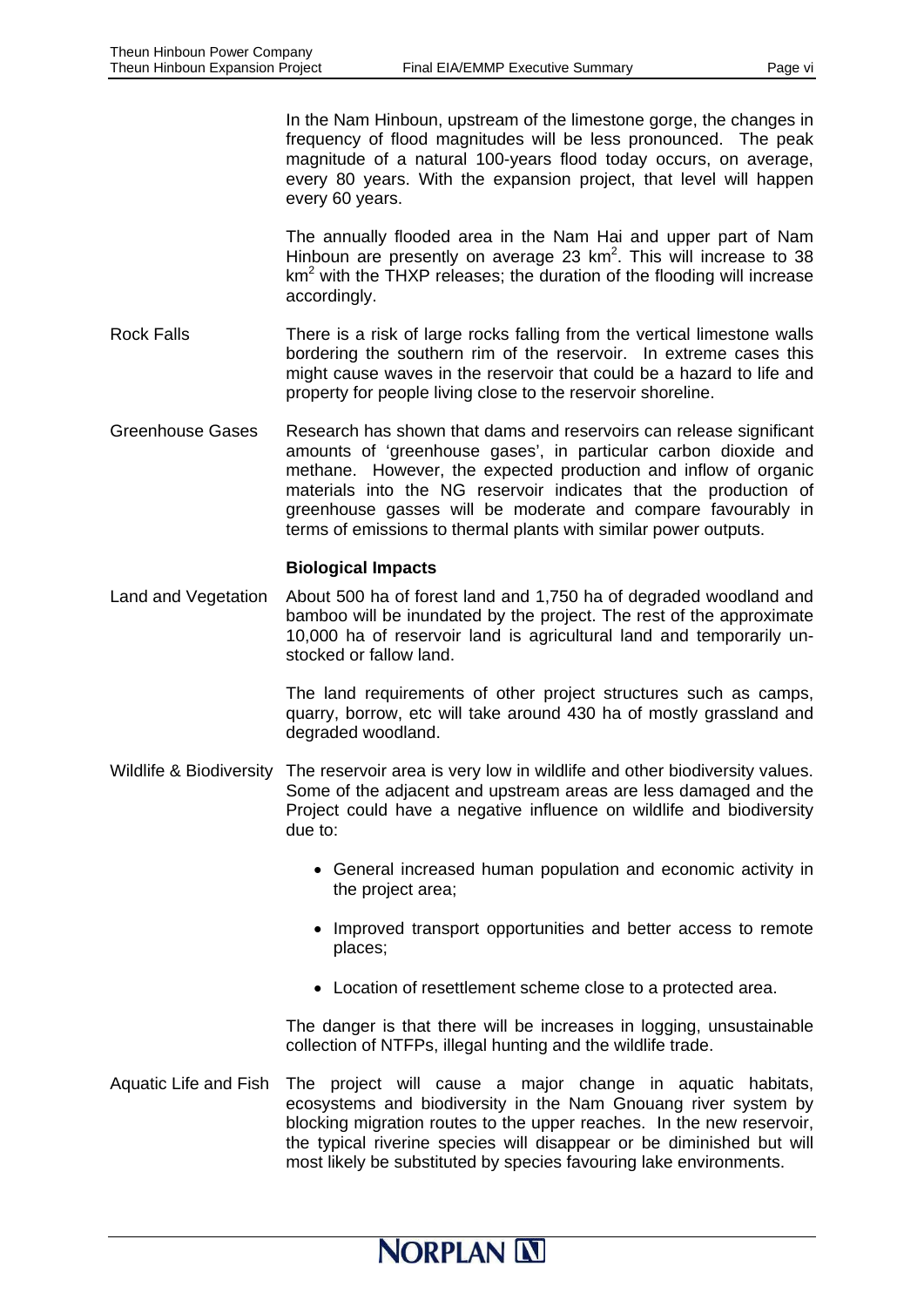In the Nam Hinboun, upstream of the limestone gorge, the changes in frequency of flood magnitudes will be less pronounced. The peak magnitude of a natural 100-years flood today occurs, on average, every 80 years. With the expansion project, that level will happen every 60 years.

The annually flooded area in the Nam Hai and upper part of Nam Hinboun are presently on average 23  $km^2$ . This will increase to 38 km<sup>2</sup> with the THXP releases; the duration of the flooding will increase accordingly.

- Rock Falls There is a risk of large rocks falling from the vertical limestone walls bordering the southern rim of the reservoir. In extreme cases this might cause waves in the reservoir that could be a hazard to life and property for people living close to the reservoir shoreline.
- Greenhouse Gases Research has shown that dams and reservoirs can release significant amounts of 'greenhouse gases', in particular carbon dioxide and methane. However, the expected production and inflow of organic materials into the NG reservoir indicates that the production of greenhouse gasses will be moderate and compare favourably in terms of emissions to thermal plants with similar power outputs.

#### **Biological Impacts**

Land and Vegetation About 500 ha of forest land and 1,750 ha of degraded woodland and bamboo will be inundated by the project. The rest of the approximate 10,000 ha of reservoir land is agricultural land and temporarily unstocked or fallow land.

> The land requirements of other project structures such as camps, quarry, borrow, etc will take around 430 ha of mostly grassland and degraded woodland.

- Wildlife & Biodiversity The reservoir area is very low in wildlife and other biodiversity values. Some of the adjacent and upstream areas are less damaged and the Project could have a negative influence on wildlife and biodiversity due to:
	- General increased human population and economic activity in the project area;
	- Improved transport opportunities and better access to remote places;
	- Location of resettlement scheme close to a protected area.

The danger is that there will be increases in logging, unsustainable collection of NTFPs, illegal hunting and the wildlife trade.

Aquatic Life and Fish The project will cause a major change in aquatic habitats, ecosystems and biodiversity in the Nam Gnouang river system by blocking migration routes to the upper reaches. In the new reservoir, the typical riverine species will disappear or be diminished but will most likely be substituted by species favouring lake environments.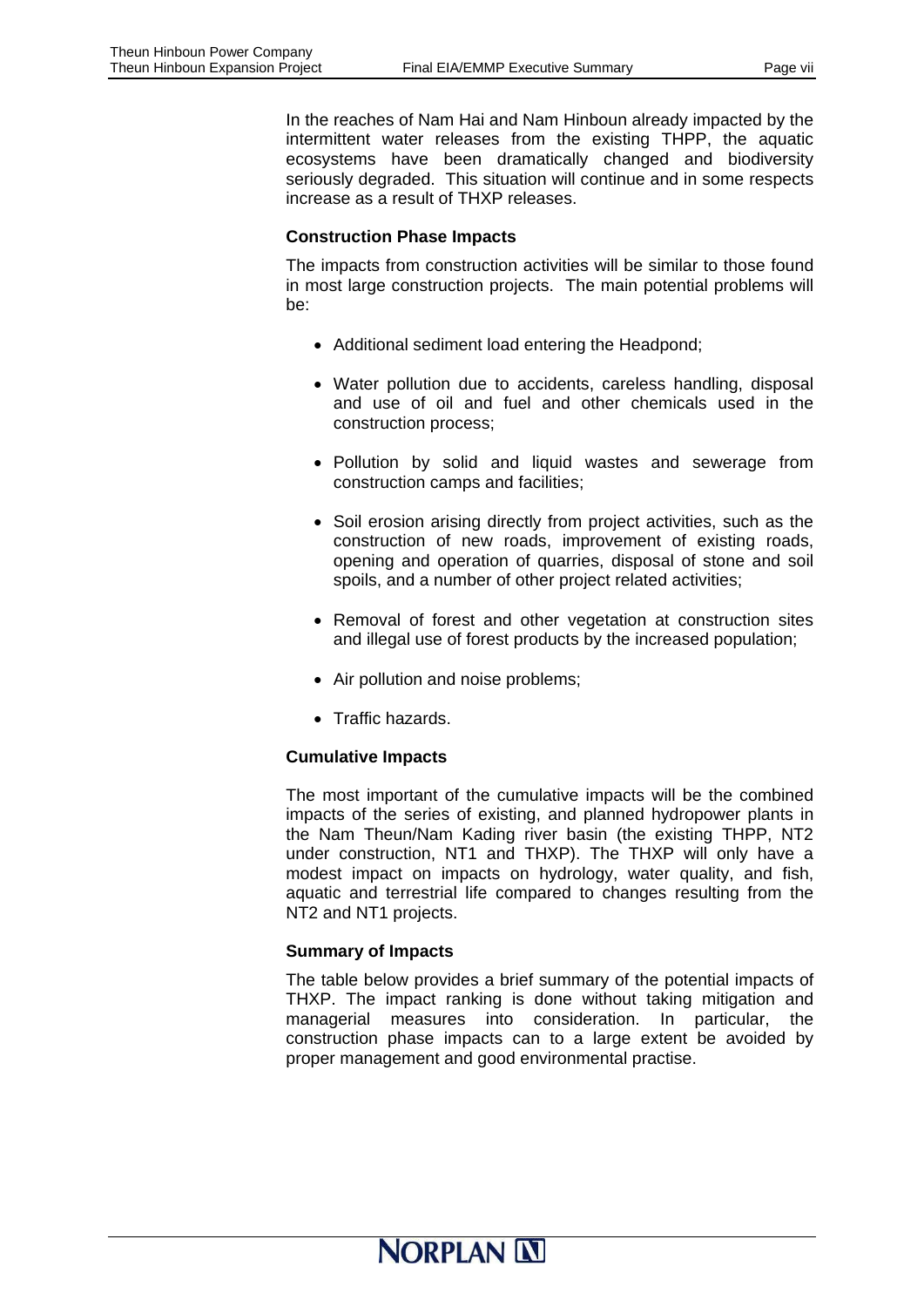In the reaches of Nam Hai and Nam Hinboun already impacted by the intermittent water releases from the existing THPP, the aquatic ecosystems have been dramatically changed and biodiversity seriously degraded. This situation will continue and in some respects increase as a result of THXP releases.

#### **Construction Phase Impacts**

The impacts from construction activities will be similar to those found in most large construction projects. The main potential problems will be:

- Additional sediment load entering the Headpond;
- Water pollution due to accidents, careless handling, disposal and use of oil and fuel and other chemicals used in the construction process;
- Pollution by solid and liquid wastes and sewerage from construction camps and facilities;
- Soil erosion arising directly from project activities, such as the construction of new roads, improvement of existing roads, opening and operation of quarries, disposal of stone and soil spoils, and a number of other project related activities;
- Removal of forest and other vegetation at construction sites and illegal use of forest products by the increased population;
- Air pollution and noise problems:
- Traffic hazards.

#### **Cumulative Impacts**

The most important of the cumulative impacts will be the combined impacts of the series of existing, and planned hydropower plants in the Nam Theun/Nam Kading river basin (the existing THPP, NT2 under construction, NT1 and THXP). The THXP will only have a modest impact on impacts on hydrology, water quality, and fish, aquatic and terrestrial life compared to changes resulting from the NT2 and NT1 projects.

#### **Summary of Impacts**

The table below provides a brief summary of the potential impacts of THXP. The impact ranking is done without taking mitigation and managerial measures into consideration. In particular, the construction phase impacts can to a large extent be avoided by proper management and good environmental practise.

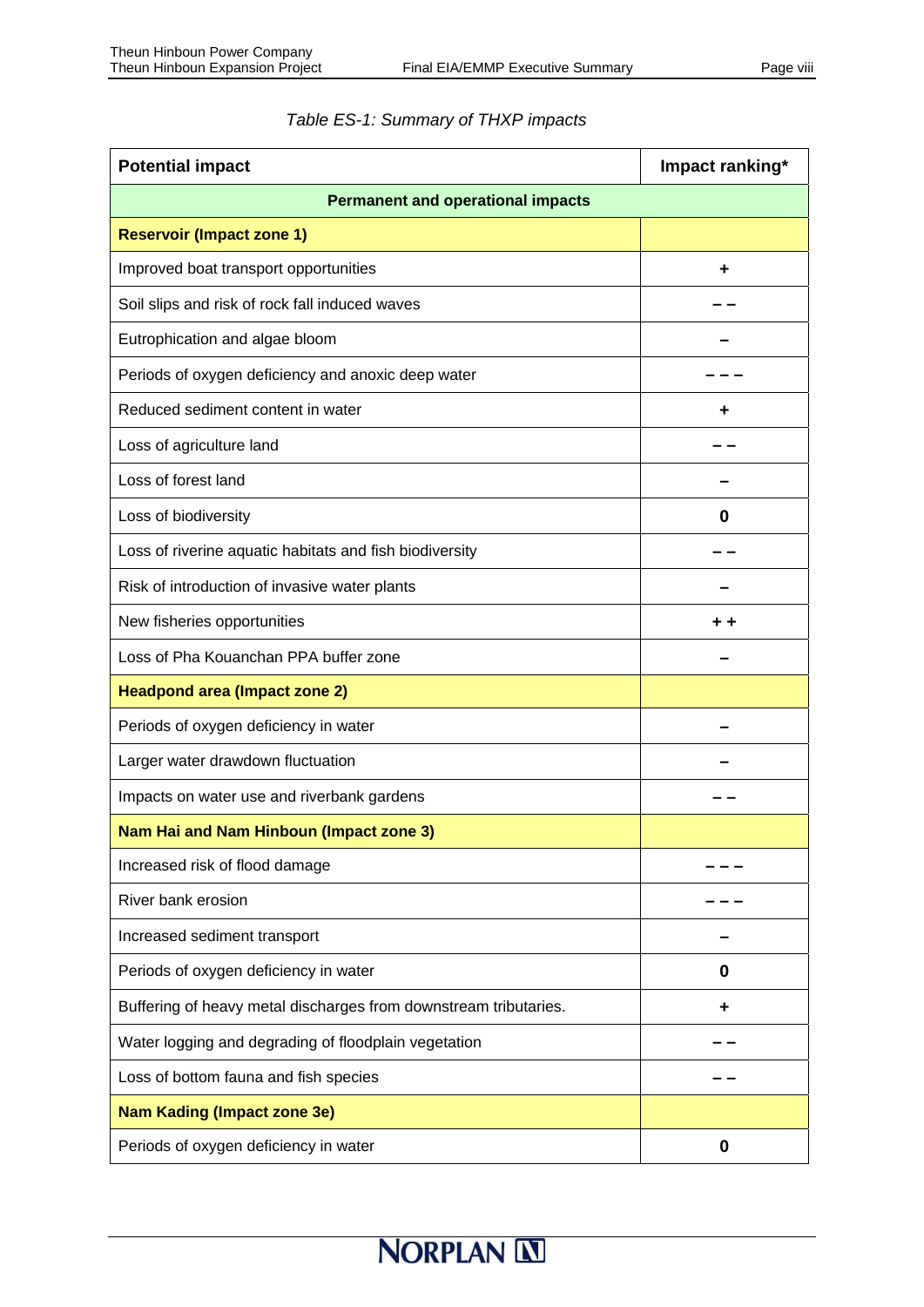| <b>Potential impact</b>                                          | Impact ranking* |  |  |  |
|------------------------------------------------------------------|-----------------|--|--|--|
| <b>Permanent and operational impacts</b>                         |                 |  |  |  |
| <b>Reservoir (Impact zone 1)</b>                                 |                 |  |  |  |
| Improved boat transport opportunities                            |                 |  |  |  |
| Soil slips and risk of rock fall induced waves                   |                 |  |  |  |
| Eutrophication and algae bloom                                   |                 |  |  |  |
| Periods of oxygen deficiency and anoxic deep water               |                 |  |  |  |
| Reduced sediment content in water                                | ÷               |  |  |  |
| Loss of agriculture land                                         |                 |  |  |  |
| Loss of forest land                                              |                 |  |  |  |
| Loss of biodiversity                                             | 0               |  |  |  |
| Loss of riverine aquatic habitats and fish biodiversity          |                 |  |  |  |
| Risk of introduction of invasive water plants                    |                 |  |  |  |
| New fisheries opportunities                                      |                 |  |  |  |
| Loss of Pha Kouanchan PPA buffer zone                            |                 |  |  |  |
| <b>Headpond area (Impact zone 2)</b>                             |                 |  |  |  |
| Periods of oxygen deficiency in water                            |                 |  |  |  |
| Larger water drawdown fluctuation                                |                 |  |  |  |
| Impacts on water use and riverbank gardens                       |                 |  |  |  |
| Nam Hai and Nam Hinboun (Impact zone 3)                          |                 |  |  |  |
| Increased risk of flood damage                                   |                 |  |  |  |
| River bank erosion                                               |                 |  |  |  |
| Increased sediment transport                                     |                 |  |  |  |
| Periods of oxygen deficiency in water                            | 0               |  |  |  |
| Buffering of heavy metal discharges from downstream tributaries. | ٠               |  |  |  |
| Water logging and degrading of floodplain vegetation             |                 |  |  |  |
| Loss of bottom fauna and fish species                            |                 |  |  |  |
| <b>Nam Kading (Impact zone 3e)</b>                               |                 |  |  |  |
| Periods of oxygen deficiency in water                            | 0               |  |  |  |

# *Table ES-1: Summary of THXP impacts*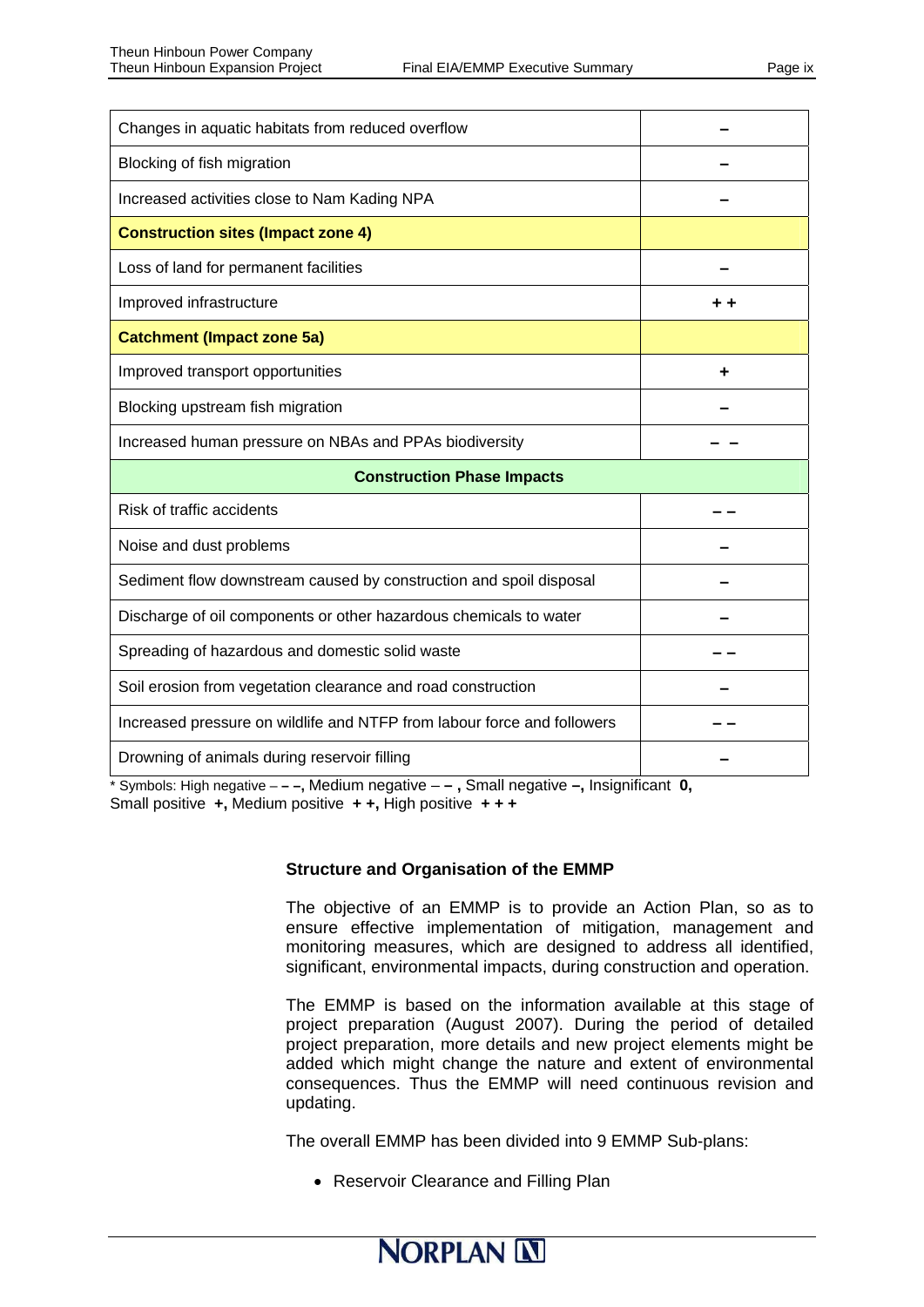| Changes in aquatic habitats from reduced overflow                       |     |  |  |  |  |  |
|-------------------------------------------------------------------------|-----|--|--|--|--|--|
| Blocking of fish migration                                              |     |  |  |  |  |  |
| Increased activities close to Nam Kading NPA                            |     |  |  |  |  |  |
| <b>Construction sites (Impact zone 4)</b>                               |     |  |  |  |  |  |
| Loss of land for permanent facilities                                   |     |  |  |  |  |  |
| Improved infrastructure                                                 | . . |  |  |  |  |  |
| <b>Catchment (Impact zone 5a)</b>                                       |     |  |  |  |  |  |
| Improved transport opportunities                                        |     |  |  |  |  |  |
| Blocking upstream fish migration                                        |     |  |  |  |  |  |
| Increased human pressure on NBAs and PPAs biodiversity                  |     |  |  |  |  |  |
| <b>Construction Phase Impacts</b>                                       |     |  |  |  |  |  |
|                                                                         |     |  |  |  |  |  |
| Risk of traffic accidents                                               |     |  |  |  |  |  |
| Noise and dust problems                                                 |     |  |  |  |  |  |
| Sediment flow downstream caused by construction and spoil disposal      |     |  |  |  |  |  |
| Discharge of oil components or other hazardous chemicals to water       |     |  |  |  |  |  |
| Spreading of hazardous and domestic solid waste                         |     |  |  |  |  |  |
| Soil erosion from vegetation clearance and road construction            |     |  |  |  |  |  |
| Increased pressure on wildlife and NTFP from labour force and followers |     |  |  |  |  |  |

\* Symbols: High negative – **– –,** Medium negative – **– ,** Small negative **–,** Insignificant **0,**  Small positive **+,** Medium positive **+ +,** High positive **+ + +** 

#### **Structure and Organisation of the EMMP**

The objective of an EMMP is to provide an Action Plan, so as to ensure effective implementation of mitigation, management and monitoring measures, which are designed to address all identified, significant, environmental impacts, during construction and operation.

The EMMP is based on the information available at this stage of project preparation (August 2007). During the period of detailed project preparation, more details and new project elements might be added which might change the nature and extent of environmental consequences. Thus the EMMP will need continuous revision and updating.

The overall EMMP has been divided into 9 EMMP Sub-plans:

• Reservoir Clearance and Filling Plan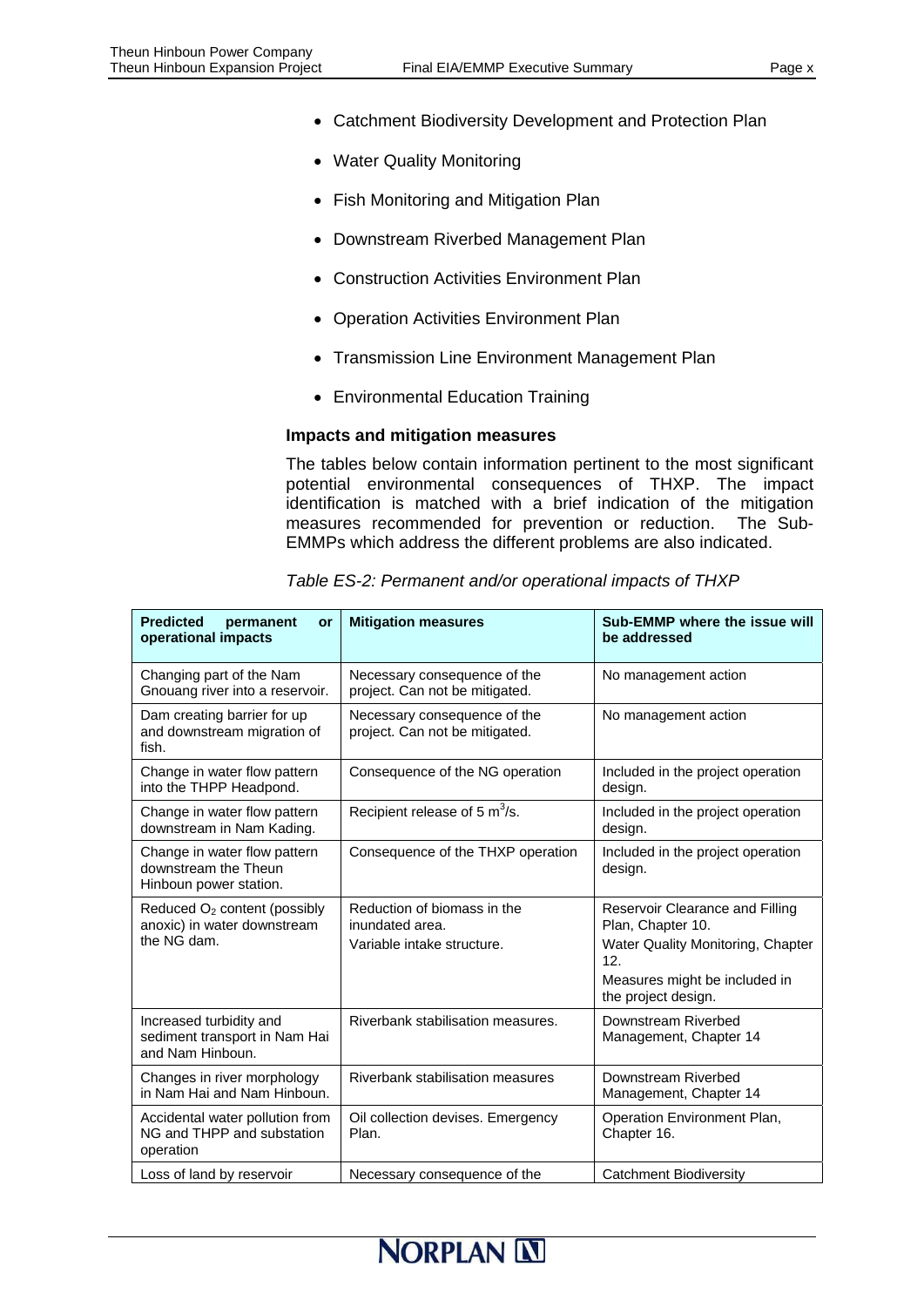- Catchment Biodiversity Development and Protection Plan
- Water Quality Monitoring
- Fish Monitoring and Mitigation Plan
- Downstream Riverbed Management Plan
- Construction Activities Environment Plan
- Operation Activities Environment Plan
- Transmission Line Environment Management Plan
- Environmental Education Training

#### **Impacts and mitigation measures**

The tables below contain information pertinent to the most significant potential environmental consequences of THXP. The impact identification is matched with a brief indication of the mitigation measures recommended for prevention or reduction. The Sub-EMMPs which address the different problems are also indicated.

| <b>Predicted</b><br>permanent<br>or<br>operational impacts                             | <b>Mitigation measures</b>                                                   | Sub-EMMP where the issue will<br>be addressed                                                                                                            |
|----------------------------------------------------------------------------------------|------------------------------------------------------------------------------|----------------------------------------------------------------------------------------------------------------------------------------------------------|
| Changing part of the Nam<br>Gnouang river into a reservoir.                            | Necessary consequence of the<br>project. Can not be mitigated.               | No management action                                                                                                                                     |
| Dam creating barrier for up<br>and downstream migration of<br>fish.                    | Necessary consequence of the<br>project. Can not be mitigated.               | No management action                                                                                                                                     |
| Change in water flow pattern<br>into the THPP Headpond.                                | Consequence of the NG operation                                              | Included in the project operation<br>design.                                                                                                             |
| Change in water flow pattern<br>downstream in Nam Kading.                              | Recipient release of 5 $m^3$ /s.                                             | Included in the project operation<br>design.                                                                                                             |
| Change in water flow pattern<br>downstream the Theun<br>Hinboun power station.         | Consequence of the THXP operation                                            | Included in the project operation<br>design.                                                                                                             |
| Reduced O <sub>2</sub> content (possibly<br>anoxic) in water downstream<br>the NG dam. | Reduction of biomass in the<br>inundated area.<br>Variable intake structure. | Reservoir Clearance and Filling<br>Plan, Chapter 10.<br>Water Quality Monitoring, Chapter<br>12.<br>Measures might be included in<br>the project design. |
| Increased turbidity and<br>sediment transport in Nam Hai<br>and Nam Hinboun.           | Riverbank stabilisation measures.                                            | Downstream Riverbed<br>Management, Chapter 14                                                                                                            |
| Changes in river morphology<br>in Nam Hai and Nam Hinboun.                             | Riverbank stabilisation measures                                             | Downstream Riverbed<br>Management, Chapter 14                                                                                                            |
| Accidental water pollution from<br>NG and THPP and substation<br>operation             | Oil collection devises. Emergency<br>Plan.                                   | Operation Environment Plan,<br>Chapter 16.                                                                                                               |
| Loss of land by reservoir                                                              | Necessary consequence of the                                                 | Catchment Biodiversity                                                                                                                                   |

*Table ES-2: Permanent and/or operational impacts of THXP*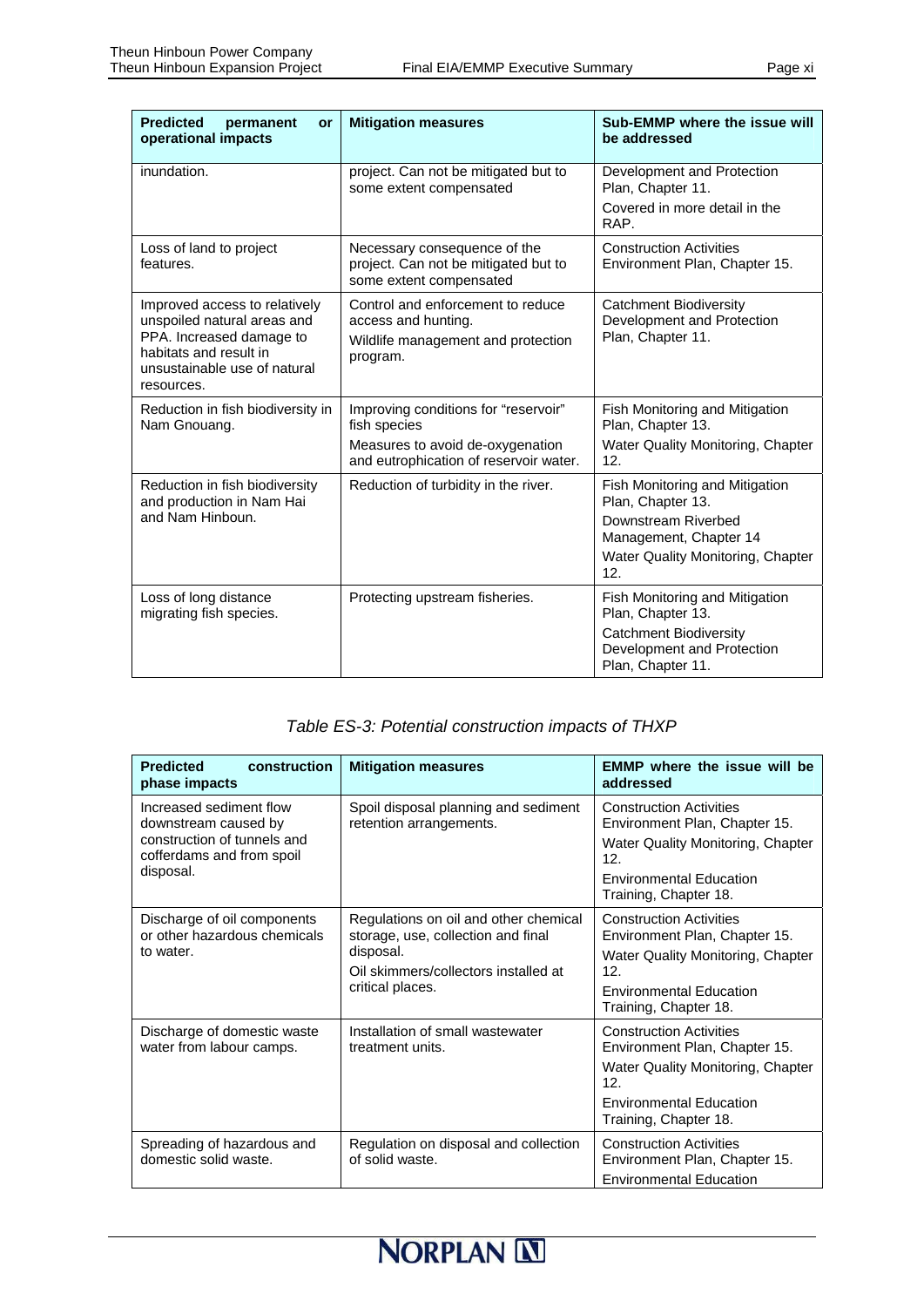| <b>Predicted</b><br>permanent<br>or<br>operational impacts                                                                                                       | <b>Mitigation measures</b>                                                                                 | Sub-EMMP where the issue will<br>be addressed                                    |  |  |
|------------------------------------------------------------------------------------------------------------------------------------------------------------------|------------------------------------------------------------------------------------------------------------|----------------------------------------------------------------------------------|--|--|
| inundation.                                                                                                                                                      | project. Can not be mitigated but to<br>some extent compensated                                            | Development and Protection<br>Plan, Chapter 11.<br>Covered in more detail in the |  |  |
|                                                                                                                                                                  |                                                                                                            | RAP.                                                                             |  |  |
| Loss of land to project<br>features.                                                                                                                             | Necessary consequence of the<br>project. Can not be mitigated but to<br>some extent compensated            | <b>Construction Activities</b><br>Environment Plan, Chapter 15.                  |  |  |
| Improved access to relatively<br>unspoiled natural areas and<br>PPA. Increased damage to<br>habitats and result in<br>unsustainable use of natural<br>resources. | Control and enforcement to reduce<br>access and hunting.<br>Wildlife management and protection<br>program. | <b>Catchment Biodiversity</b><br>Development and Protection<br>Plan, Chapter 11. |  |  |
| Reduction in fish biodiversity in<br>Nam Gnouang.                                                                                                                | Improving conditions for "reservoir"<br>fish species                                                       | Fish Monitoring and Mitigation<br>Plan, Chapter 13.                              |  |  |
|                                                                                                                                                                  | Measures to avoid de-oxygenation<br>and eutrophication of reservoir water.                                 | Water Quality Monitoring, Chapter<br>12.                                         |  |  |
| Reduction in fish biodiversity<br>and production in Nam Hai                                                                                                      | Reduction of turbidity in the river.                                                                       | Fish Monitoring and Mitigation<br>Plan, Chapter 13.                              |  |  |
| and Nam Hinboun.                                                                                                                                                 |                                                                                                            | Downstream Riverbed<br>Management, Chapter 14                                    |  |  |
|                                                                                                                                                                  |                                                                                                            | Water Quality Monitoring, Chapter<br>12.                                         |  |  |
| Loss of long distance<br>migrating fish species.                                                                                                                 | Protecting upstream fisheries.                                                                             | Fish Monitoring and Mitigation<br>Plan, Chapter 13.                              |  |  |
|                                                                                                                                                                  | <b>Catchment Biodiversity</b><br>Development and Protection<br>Plan, Chapter 11.                           |                                                                                  |  |  |

#### *Table ES-3: Potential construction impacts of THXP*

| <b>Predicted</b><br>construction<br>phase impacts                                                                        | <b>Mitigation measures</b>                                                                                                                           | <b>EMMP</b> where the issue will be<br>addressed                                                                                                                       |  |  |  |
|--------------------------------------------------------------------------------------------------------------------------|------------------------------------------------------------------------------------------------------------------------------------------------------|------------------------------------------------------------------------------------------------------------------------------------------------------------------------|--|--|--|
| Increased sediment flow<br>downstream caused by<br>construction of tunnels and<br>cofferdams and from spoil<br>disposal. | Spoil disposal planning and sediment<br>retention arrangements.                                                                                      | <b>Construction Activities</b><br>Environment Plan, Chapter 15.<br>Water Quality Monitoring, Chapter<br>12.<br><b>Environmental Education</b><br>Training, Chapter 18. |  |  |  |
| Discharge of oil components<br>or other hazardous chemicals<br>to water.                                                 | Regulations on oil and other chemical<br>storage, use, collection and final<br>disposal.<br>Oil skimmers/collectors installed at<br>critical places. | <b>Construction Activities</b><br>Environment Plan, Chapter 15.<br>Water Quality Monitoring, Chapter<br>12.<br><b>Environmental Education</b><br>Training, Chapter 18. |  |  |  |
| Discharge of domestic waste<br>water from labour camps.                                                                  | Installation of small wastewater<br>treatment units.                                                                                                 | <b>Construction Activities</b><br>Environment Plan, Chapter 15.<br>Water Quality Monitoring, Chapter<br>12.<br><b>Environmental Education</b><br>Training, Chapter 18. |  |  |  |
| Spreading of hazardous and<br>domestic solid waste.                                                                      | Regulation on disposal and collection<br>of solid waste.                                                                                             | <b>Construction Activities</b><br>Environment Plan, Chapter 15.<br><b>Environmental Education</b>                                                                      |  |  |  |

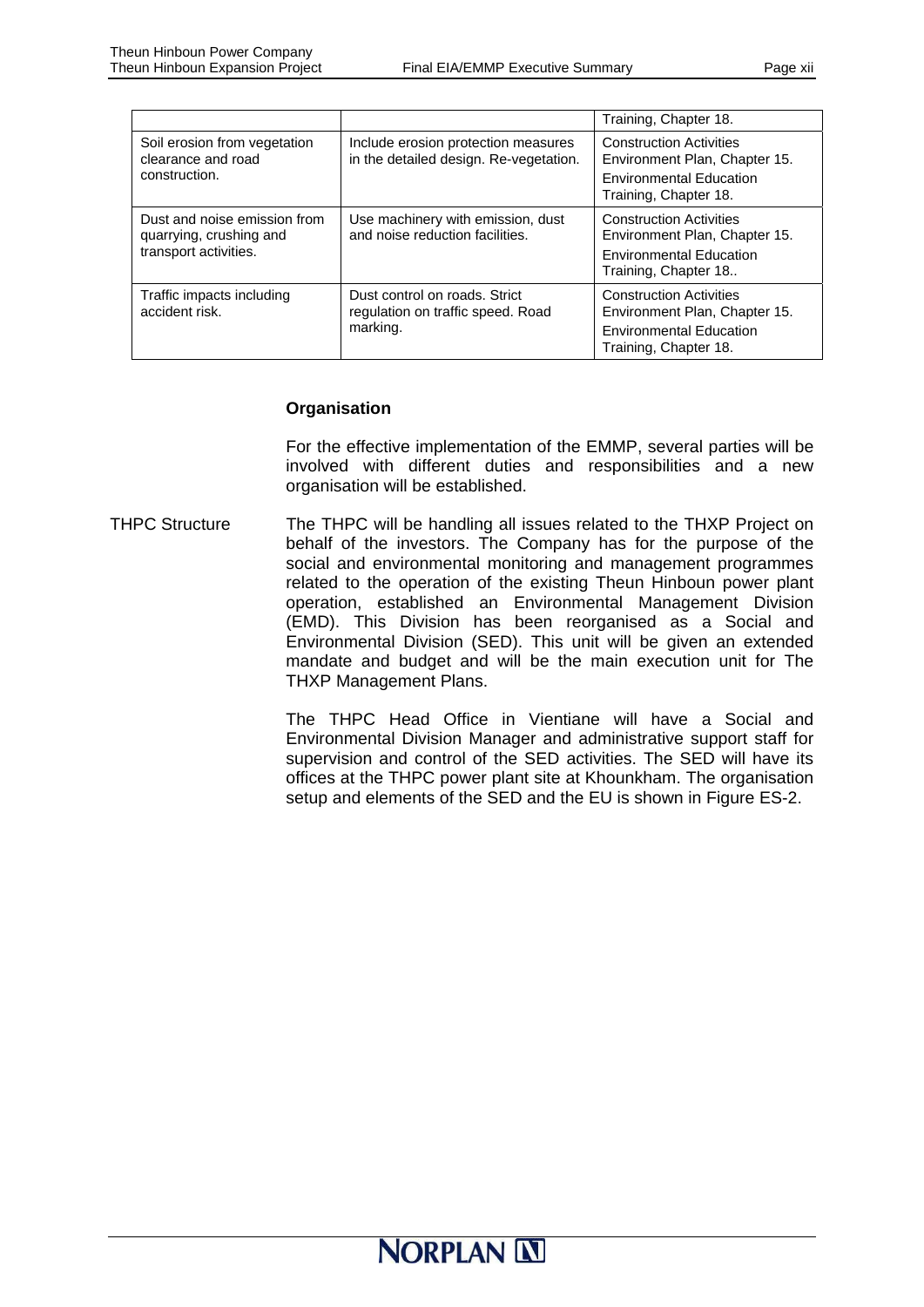|                                                                                  |                                                                                | Training, Chapter 18.                                                                                                      |  |  |  |
|----------------------------------------------------------------------------------|--------------------------------------------------------------------------------|----------------------------------------------------------------------------------------------------------------------------|--|--|--|
| Soil erosion from vegetation<br>clearance and road<br>construction.              | Include erosion protection measures<br>in the detailed design. Re-vegetation.  | <b>Construction Activities</b><br>Environment Plan, Chapter 15.<br><b>Environmental Education</b><br>Training, Chapter 18. |  |  |  |
| Dust and noise emission from<br>quarrying, crushing and<br>transport activities. | Use machinery with emission, dust<br>and noise reduction facilities.           | <b>Construction Activities</b><br>Environment Plan, Chapter 15.<br><b>Environmental Education</b><br>Training, Chapter 18  |  |  |  |
| Traffic impacts including<br>accident risk.                                      | Dust control on roads. Strict<br>regulation on traffic speed. Road<br>marking. | <b>Construction Activities</b><br>Environment Plan, Chapter 15.<br><b>Environmental Education</b><br>Training, Chapter 18. |  |  |  |

#### **Organisation**

For the effective implementation of the EMMP, several parties will be involved with different duties and responsibilities and a new organisation will be established.

THPC Structure The THPC will be handling all issues related to the THXP Project on behalf of the investors. The Company has for the purpose of the social and environmental monitoring and management programmes related to the operation of the existing Theun Hinboun power plant operation, established an Environmental Management Division (EMD). This Division has been reorganised as a Social and Environmental Division (SED). This unit will be given an extended mandate and budget and will be the main execution unit for The THXP Management Plans.

> The THPC Head Office in Vientiane will have a Social and Environmental Division Manager and administrative support staff for supervision and control of the SED activities. The SED will have its offices at the THPC power plant site at Khounkham. The organisation setup and elements of the SED and the EU is shown in Figure ES-2.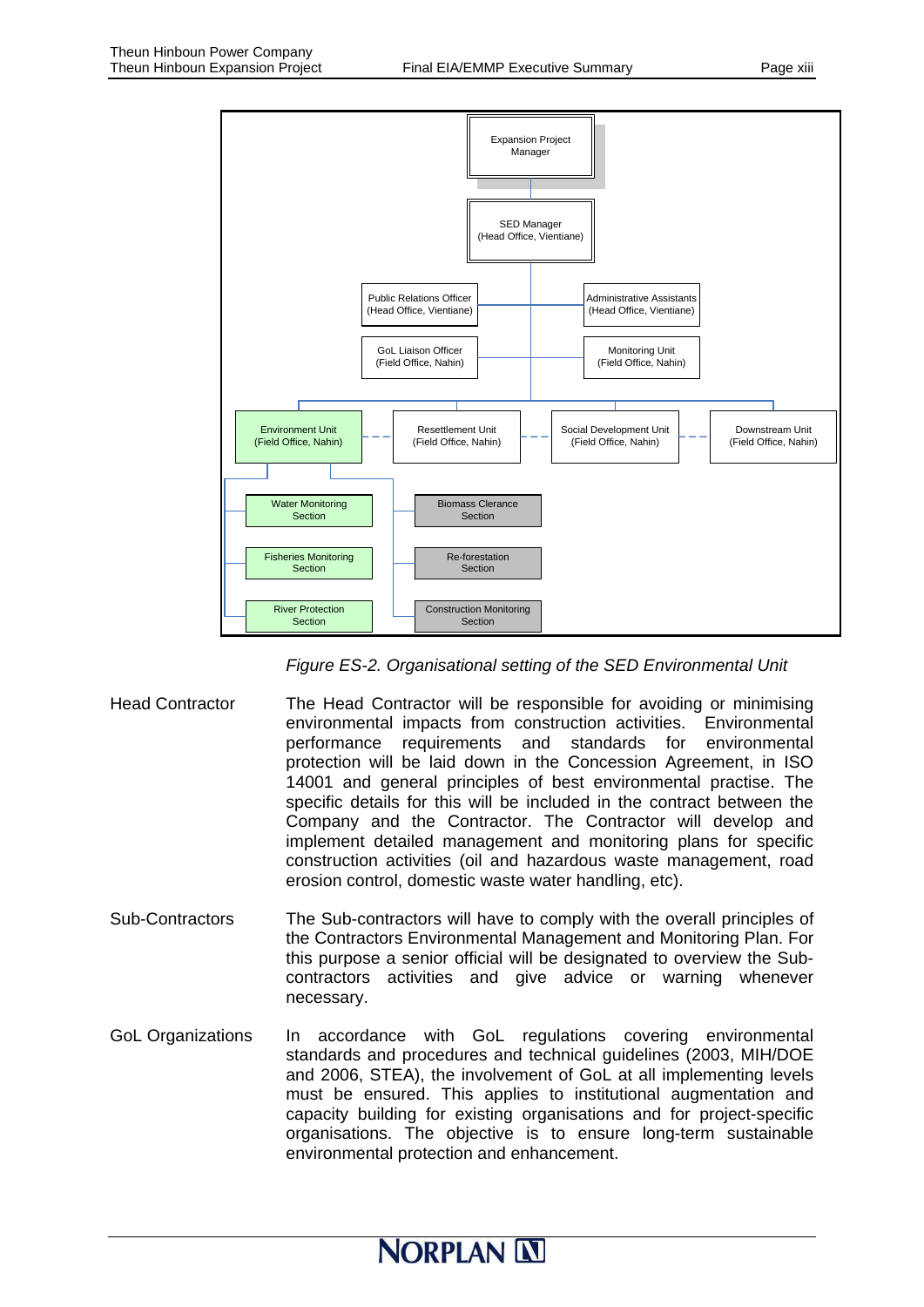

*Figure ES-2. Organisational setting of the SED Environmental Unit* 

- Head Contractor The Head Contractor will be responsible for avoiding or minimising environmental impacts from construction activities. Environmental performance requirements and standards for environmental protection will be laid down in the Concession Agreement, in ISO 14001 and general principles of best environmental practise. The specific details for this will be included in the contract between the Company and the Contractor. The Contractor will develop and implement detailed management and monitoring plans for specific construction activities (oil and hazardous waste management, road erosion control, domestic waste water handling, etc).
- Sub-Contractors The Sub-contractors will have to comply with the overall principles of the Contractors Environmental Management and Monitoring Plan. For this purpose a senior official will be designated to overview the Subcontractors activities and give advice or warning whenever necessary.
- GoL Organizations In accordance with GoL regulations covering environmental standards and procedures and technical guidelines (2003, MIH/DOE and 2006, STEA), the involvement of GoL at all implementing levels must be ensured. This applies to institutional augmentation and capacity building for existing organisations and for project-specific organisations. The objective is to ensure long-term sustainable environmental protection and enhancement.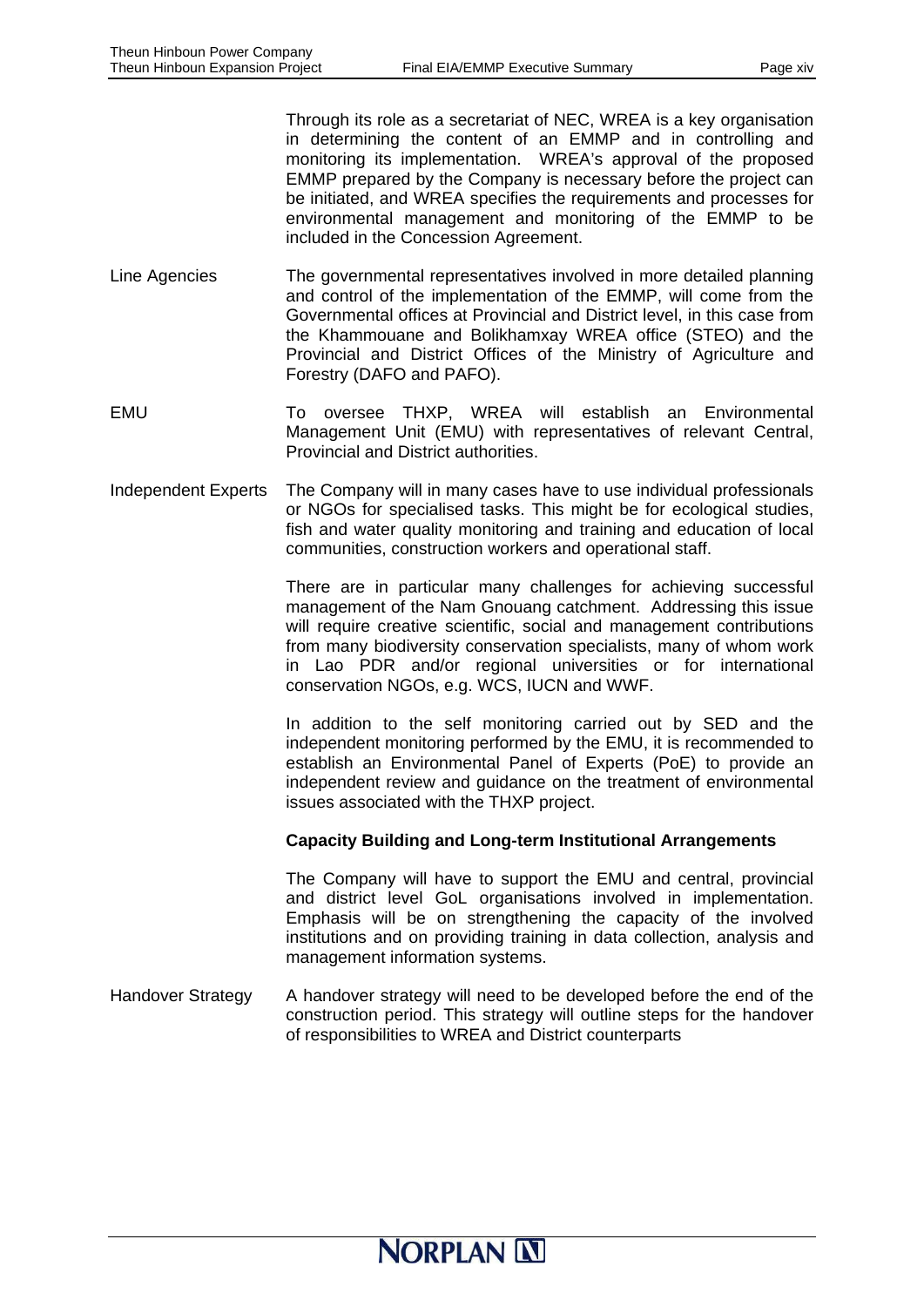Through its role as a secretariat of NEC, WREA is a key organisation in determining the content of an EMMP and in controlling and monitoring its implementation. WREA's approval of the proposed EMMP prepared by the Company is necessary before the project can be initiated, and WREA specifies the requirements and processes for environmental management and monitoring of the EMMP to be included in the Concession Agreement.

- Line Agencies The governmental representatives involved in more detailed planning and control of the implementation of the EMMP, will come from the Governmental offices at Provincial and District level, in this case from the Khammouane and Bolikhamxay WREA office (STEO) and the Provincial and District Offices of the Ministry of Agriculture and Forestry (DAFO and PAFO).
- EMU To oversee THXP, WREA will establish an Environmental Management Unit (EMU) with representatives of relevant Central, Provincial and District authorities.
- Independent Experts The Company will in many cases have to use individual professionals or NGOs for specialised tasks. This might be for ecological studies, fish and water quality monitoring and training and education of local communities, construction workers and operational staff.

There are in particular many challenges for achieving successful management of the Nam Gnouang catchment. Addressing this issue will require creative scientific, social and management contributions from many biodiversity conservation specialists, many of whom work in Lao PDR and/or regional universities or for international conservation NGOs, e.g. WCS, IUCN and WWF.

In addition to the self monitoring carried out by SED and the independent monitoring performed by the EMU, it is recommended to establish an Environmental Panel of Experts (PoE) to provide an independent review and guidance on the treatment of environmental issues associated with the THXP project.

#### **Capacity Building and Long-term Institutional Arrangements**

The Company will have to support the EMU and central, provincial and district level GoL organisations involved in implementation. Emphasis will be on strengthening the capacity of the involved institutions and on providing training in data collection, analysis and management information systems.

Handover Strategy A handover strategy will need to be developed before the end of the construction period. This strategy will outline steps for the handover of responsibilities to WREA and District counterparts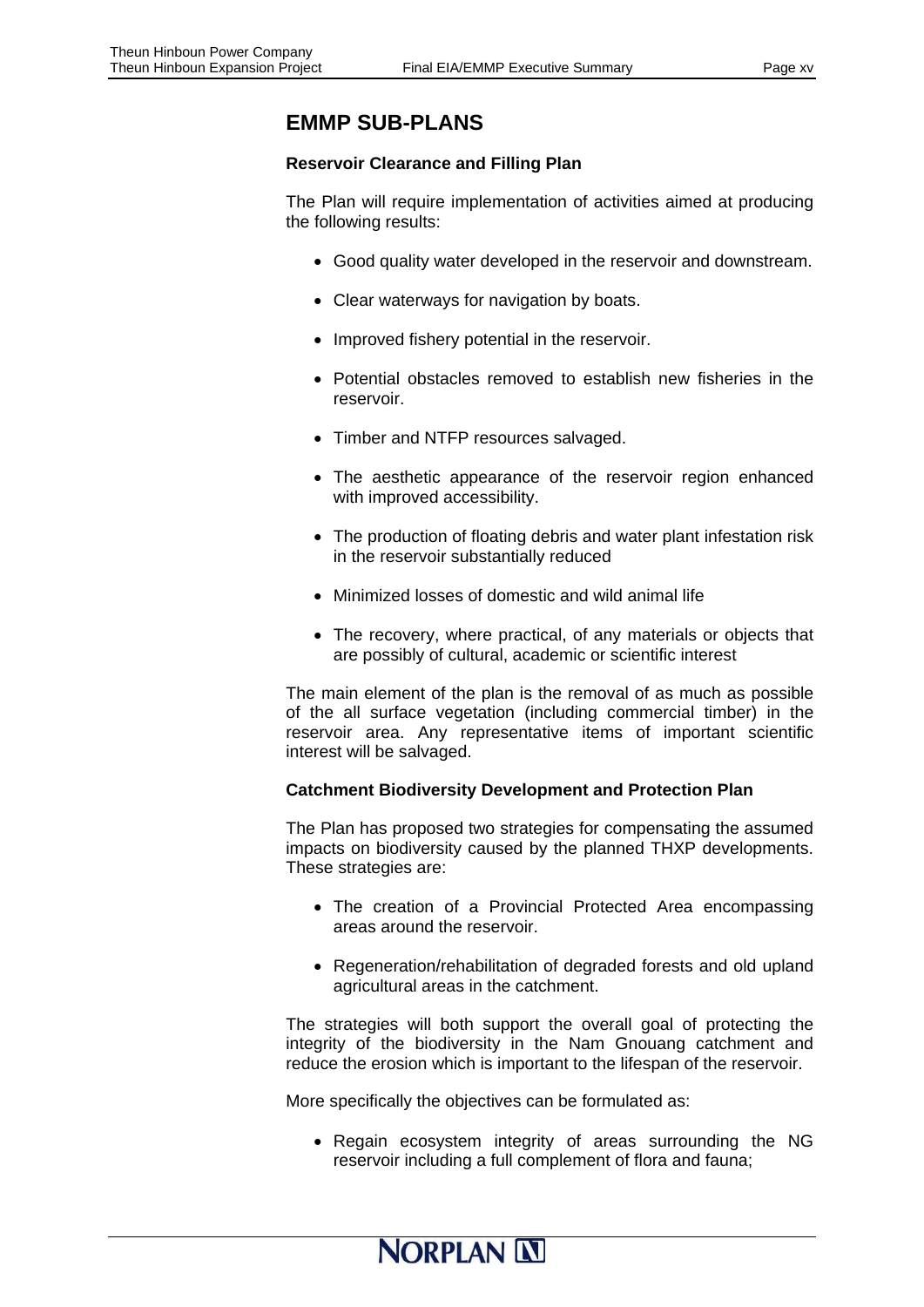### **EMMP SUB-PLANS**

#### **Reservoir Clearance and Filling Plan**

The Plan will require implementation of activities aimed at producing the following results:

- Good quality water developed in the reservoir and downstream.
- Clear waterways for navigation by boats.
- Improved fishery potential in the reservoir.
- Potential obstacles removed to establish new fisheries in the reservoir.
- Timber and NTFP resources salvaged.
- The aesthetic appearance of the reservoir region enhanced with improved accessibility.
- The production of floating debris and water plant infestation risk in the reservoir substantially reduced
- Minimized losses of domestic and wild animal life
- The recovery, where practical, of any materials or objects that are possibly of cultural, academic or scientific interest

The main element of the plan is the removal of as much as possible of the all surface vegetation (including commercial timber) in the reservoir area. Any representative items of important scientific interest will be salvaged.

#### **Catchment Biodiversity Development and Protection Plan**

The Plan has proposed two strategies for compensating the assumed impacts on biodiversity caused by the planned THXP developments. These strategies are:

- The creation of a Provincial Protected Area encompassing areas around the reservoir.
- Regeneration/rehabilitation of degraded forests and old upland agricultural areas in the catchment.

The strategies will both support the overall goal of protecting the integrity of the biodiversity in the Nam Gnouang catchment and reduce the erosion which is important to the lifespan of the reservoir.

More specifically the objectives can be formulated as:

• Regain ecosystem integrity of areas surrounding the NG reservoir including a full complement of flora and fauna;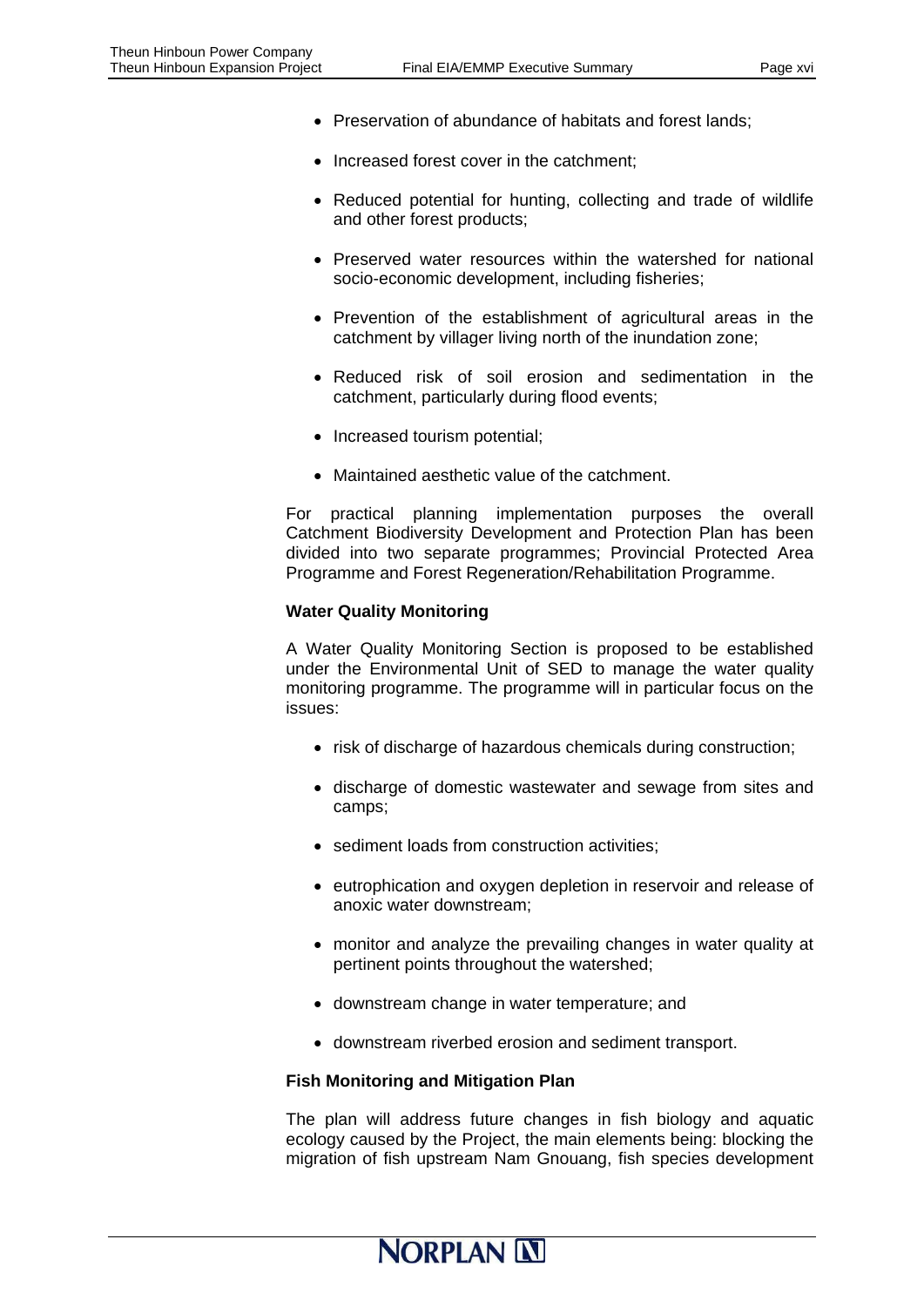- Preservation of abundance of habitats and forest lands;
- Increased forest cover in the catchment;
- Reduced potential for hunting, collecting and trade of wildlife and other forest products;
- Preserved water resources within the watershed for national socio-economic development, including fisheries;
- Prevention of the establishment of agricultural areas in the catchment by villager living north of the inundation zone;
- Reduced risk of soil erosion and sedimentation in the catchment, particularly during flood events;
- Increased tourism potential;
- Maintained aesthetic value of the catchment.

For practical planning implementation purposes the overall Catchment Biodiversity Development and Protection Plan has been divided into two separate programmes; Provincial Protected Area Programme and Forest Regeneration/Rehabilitation Programme.

#### **Water Quality Monitoring**

A Water Quality Monitoring Section is proposed to be established under the Environmental Unit of SED to manage the water quality monitoring programme. The programme will in particular focus on the issues:

- risk of discharge of hazardous chemicals during construction;
- discharge of domestic wastewater and sewage from sites and camps;
- sediment loads from construction activities;
- eutrophication and oxygen depletion in reservoir and release of anoxic water downstream;
- monitor and analyze the prevailing changes in water quality at pertinent points throughout the watershed;
- downstream change in water temperature; and
- downstream riverbed erosion and sediment transport.

#### **Fish Monitoring and Mitigation Plan**

The plan will address future changes in fish biology and aquatic ecology caused by the Project, the main elements being: blocking the migration of fish upstream Nam Gnouang, fish species development

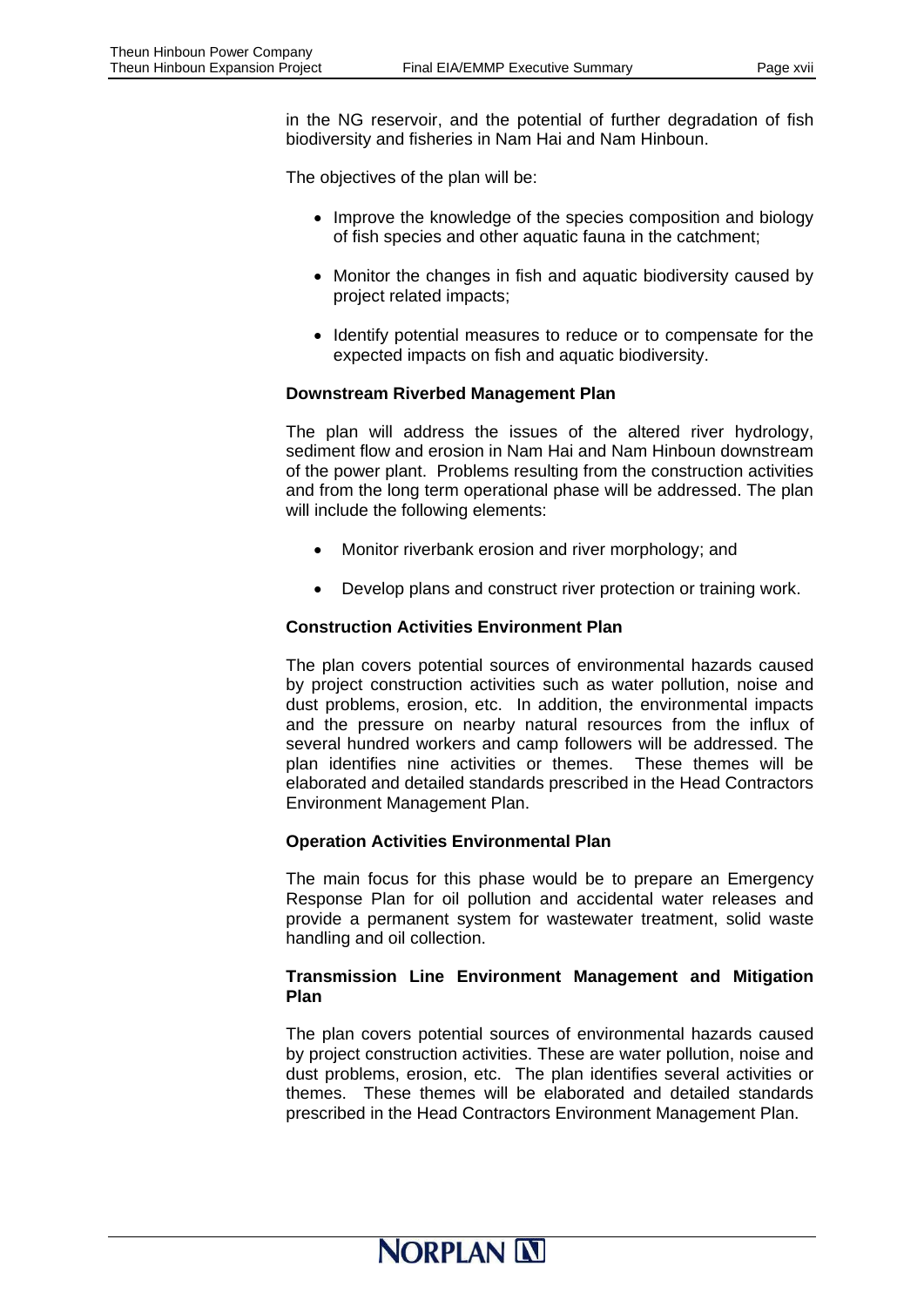in the NG reservoir, and the potential of further degradation of fish biodiversity and fisheries in Nam Hai and Nam Hinboun.

The objectives of the plan will be:

- Improve the knowledge of the species composition and biology of fish species and other aquatic fauna in the catchment;
- Monitor the changes in fish and aquatic biodiversity caused by project related impacts;
- Identify potential measures to reduce or to compensate for the expected impacts on fish and aquatic biodiversity.

#### **Downstream Riverbed Management Plan**

The plan will address the issues of the altered river hydrology, sediment flow and erosion in Nam Hai and Nam Hinboun downstream of the power plant. Problems resulting from the construction activities and from the long term operational phase will be addressed. The plan will include the following elements:

- Monitor riverbank erosion and river morphology; and
- Develop plans and construct river protection or training work.

#### **Construction Activities Environment Plan**

The plan covers potential sources of environmental hazards caused by project construction activities such as water pollution, noise and dust problems, erosion, etc. In addition, the environmental impacts and the pressure on nearby natural resources from the influx of several hundred workers and camp followers will be addressed. The plan identifies nine activities or themes. These themes will be elaborated and detailed standards prescribed in the Head Contractors Environment Management Plan.

#### **Operation Activities Environmental Plan**

The main focus for this phase would be to prepare an Emergency Response Plan for oil pollution and accidental water releases and provide a permanent system for wastewater treatment, solid waste handling and oil collection.

#### **Transmission Line Environment Management and Mitigation Plan**

The plan covers potential sources of environmental hazards caused by project construction activities. These are water pollution, noise and dust problems, erosion, etc. The plan identifies several activities or themes. These themes will be elaborated and detailed standards prescribed in the Head Contractors Environment Management Plan.

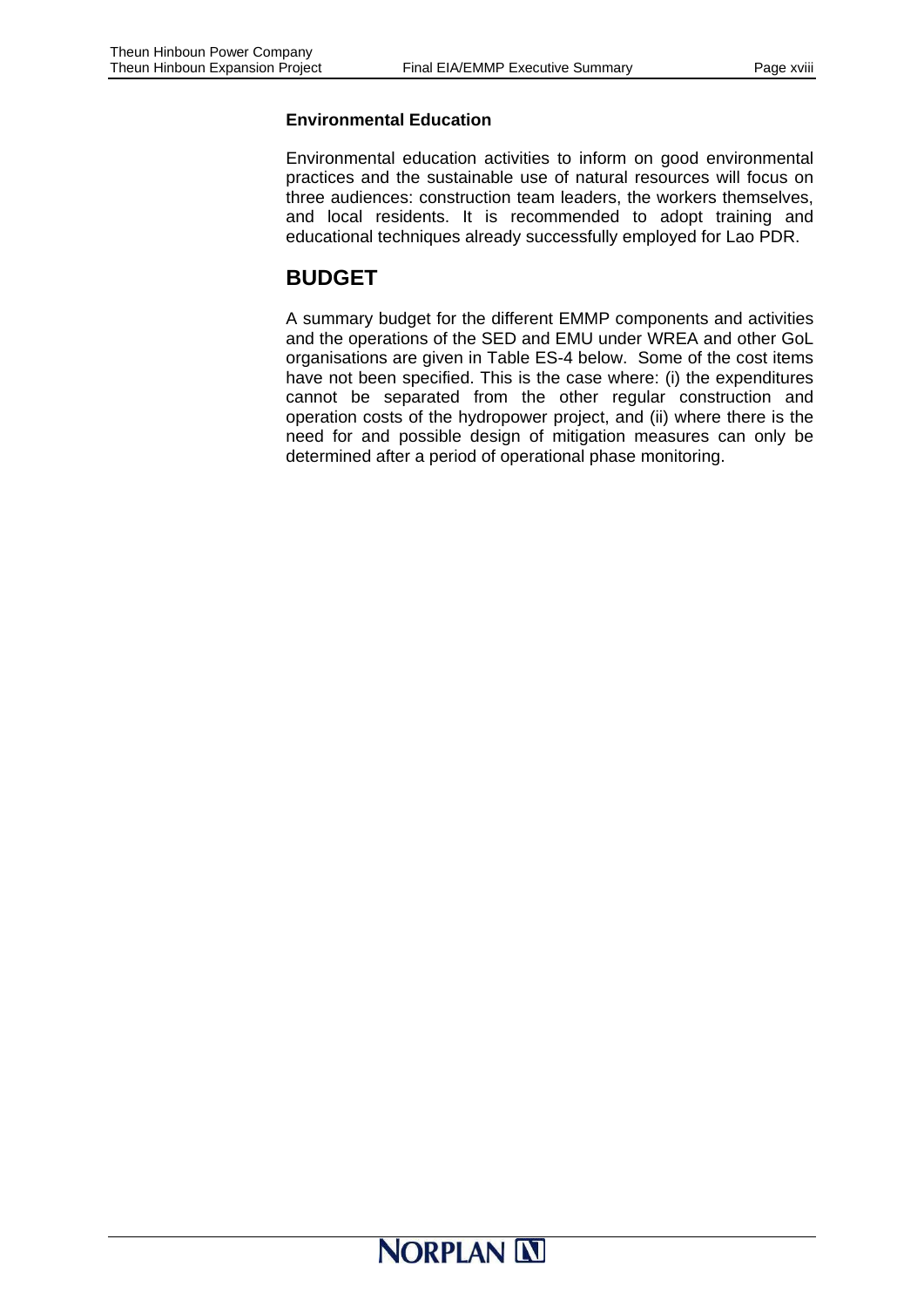#### **Environmental Education**

Environmental education activities to inform on good environmental practices and the sustainable use of natural resources will focus on three audiences: construction team leaders, the workers themselves, and local residents. It is recommended to adopt training and educational techniques already successfully employed for Lao PDR.

### **BUDGET**

A summary budget for the different EMMP components and activities and the operations of the SED and EMU under WREA and other GoL organisations are given in Table ES-4 below. Some of the cost items have not been specified. This is the case where: (i) the expenditures cannot be separated from the other regular construction and operation costs of the hydropower project, and (ii) where there is the need for and possible design of mitigation measures can only be determined after a period of operational phase monitoring.